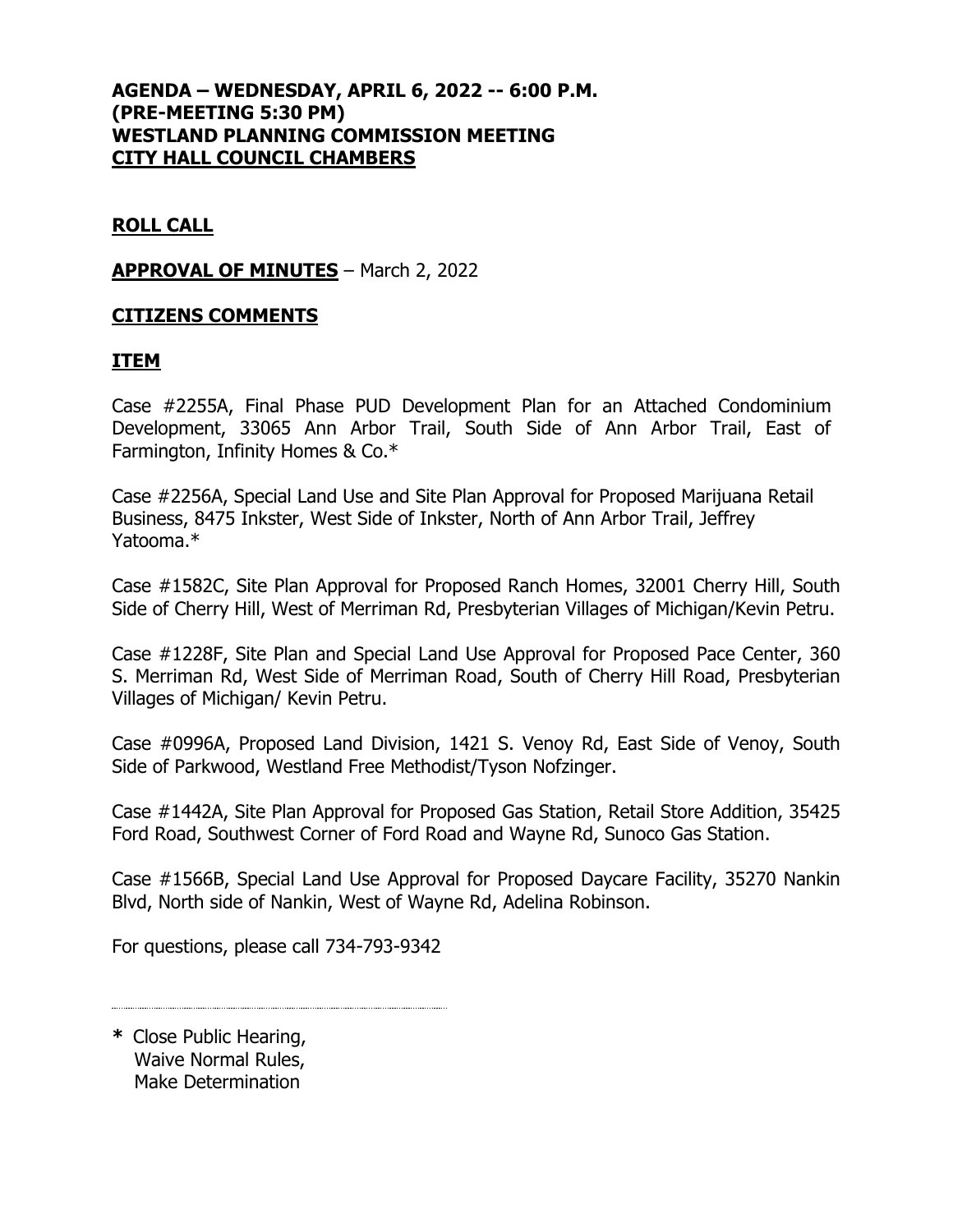# **AGENDA – WEDNESDAY, APRIL 6, 2022 -- 6:00 P.M. (PRE-MEETING 5:30 PM) WESTLAND PLANNING COMMISSION MEETING CITY HALL COUNCIL CHAMBERS**

# **ROLL CALL**

#### **APPROVAL OF MINUTES** – March 2, 2022

## **CITIZENS COMMENTS**

## **ITEM**

Case #2255A, Final Phase PUD Development Plan for an Attached Condominium Development, 33065 Ann Arbor Trail, South Side of Ann Arbor Trail, East of Farmington, Infinity Homes & Co.\*

Case #2256A, Special Land Use and Site Plan Approval for Proposed Marijuana Retail Business, 8475 Inkster, West Side of Inkster, North of Ann Arbor Trail, Jeffrey Yatooma.\*

Case #1582C, Site Plan Approval for Proposed Ranch Homes, 32001 Cherry Hill, South Side of Cherry Hill, West of Merriman Rd, Presbyterian Villages of Michigan/Kevin Petru.

Case #1228F, Site Plan and Special Land Use Approval for Proposed Pace Center, 360 S. Merriman Rd, West Side of Merriman Road, South of Cherry Hill Road, Presbyterian Villages of Michigan/ Kevin Petru.

Case #0996A, Proposed Land Division, 1421 S. Venoy Rd, East Side of Venoy, South Side of Parkwood, Westland Free Methodist/Tyson Nofzinger.

Case #1442A, Site Plan Approval for Proposed Gas Station, Retail Store Addition, 35425 Ford Road, Southwest Corner of Ford Road and Wayne Rd, Sunoco Gas Station.

Case #1566B, Special Land Use Approval for Proposed Daycare Facility, 35270 Nankin Blvd, North side of Nankin, West of Wayne Rd, Adelina Robinson.

For questions, please call 734-793-9342

**\*** Close Public Hearing, Waive Normal Rules, Make Determination